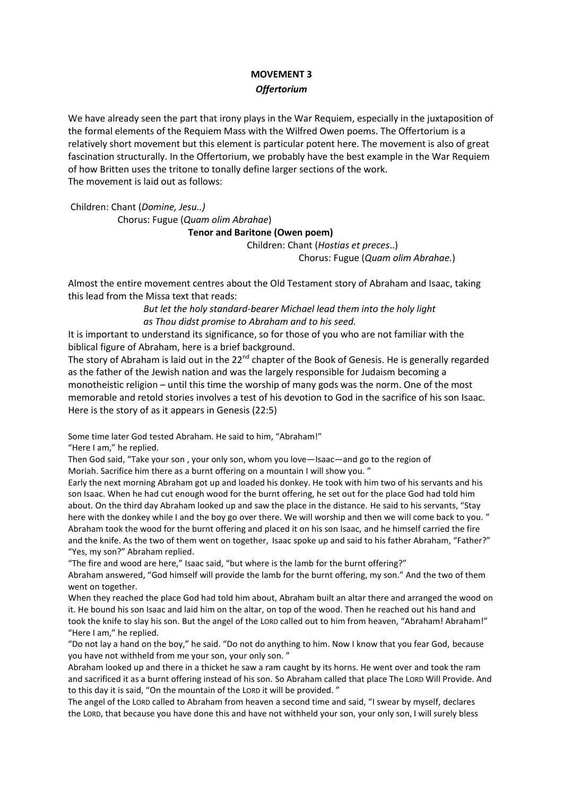## **MOVEMENT 3** *Offertorium*

We have already seen the part that irony plays in the War Requiem, especially in the juxtaposition of the formal elements of the Requiem Mass with the Wilfred Owen poems. The Offertorium is a relatively short movement but this element is particular potent here. The movement is also of great fascination structurally. In the Offertorium, we probably have the best example in the War Requiem of how Britten uses the tritone to tonally define larger sections of the work. The movement is laid out as follows:

Children: Chant (*Domine, Jesu..)* Chorus: Fugue (*Quam olim Abrahae*)

### **Tenor and Baritone (Owen poem)**

 Children: Chant (*Hostias et preces*..) Chorus: Fugue (*Quam olim Abrahae.*)

Almost the entire movement centres about the Old Testament story of Abraham and Isaac, taking this lead from the Missa text that reads:

> *But let the holy standard-bearer Michael lead them into the holy light as Thou didst promise to Abraham and to his seed.*

It is important to understand its significance, so for those of you who are not familiar with the biblical figure of Abraham, here is a brief background.

The story of Abraham is laid out in the  $22<sup>nd</sup>$  chapter of the Book of Genesis. He is generally regarded as the father of the Jewish nation and was the largely responsible for Judaism becoming a monotheistic religion – until this time the worship of many gods was the norm. One of the most memorable and retold stories involves a test of his devotion to God in the sacrifice of his son Isaac. Here is the story of as it appears in Genesis (22:5)

Some time later God tested Abraham. He said to him, "Abraham!"

"Here I am," he replied.

Then God said, "Take your son , your only son, whom you love—Isaac—and go to the region of Moriah. Sacrifice him there as a burnt offering on a mountain I will show you. "

Early the next morning Abraham got up and loaded his donkey. He took with him two of his servants and his son Isaac. When he had cut enough wood for the burnt offering, he set out for the place God had told him about. On the third day Abraham looked up and saw the place in the distance. He said to his servants, "Stay here with the donkey while I and the boy go over there. We will worship and then we will come back to you. " Abraham took the wood for the burnt offering and placed it on his son Isaac, and he himself carried the fire and the knife. As the two of them went on together, Isaac spoke up and said to his father Abraham, "Father?" "Yes, my son?" Abraham replied.

"The fire and wood are here," Isaac said, "but where is the lamb for the burnt offering?"

Abraham answered, "God himself will provide the lamb for the burnt offering, my son." And the two of them went on together.

When they reached the place God had told him about, Abraham built an altar there and arranged the wood on it. He bound his son Isaac and laid him on the altar, on top of the wood. Then he reached out his hand and took the knife to slay his son. But the angel of the LORD called out to him from heaven, "Abraham! Abraham!" "Here I am," he replied.

"Do not lay a hand on the boy," he said. "Do not do anything to him. Now I know that you fear God, because you have not withheld from me your son, your only son. "

Abraham looked up and there in a thicket he saw a ram caught by its horns. He went over and took the ram and sacrificed it as a burnt offering instead of his son. So Abraham called that place The LORD Will Provide. And to this day it is said, "On the mountain of the LORD it will be provided. "

The angel of the LORD called to Abraham from heaven a second time and said, "I swear by myself, declares the LORD, that because you have done this and have not withheld your son, your only son, I will surely bless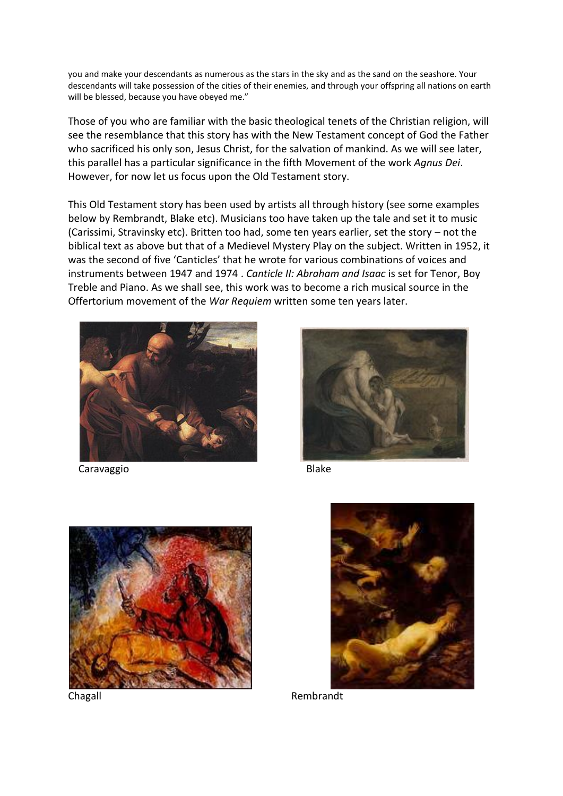you and make your descendants as numerous as the stars in the sky and as the sand on the seashore. Your descendants will take possession of the cities of their enemies, and through your offspring all nations on earth will be blessed, because you have obeyed me."

Those of you who are familiar with the basic theological tenets of the Christian religion, will see the resemblance that this story has with the New Testament concept of God the Father who sacrificed his only son, Jesus Christ, for the salvation of mankind. As we will see later, this parallel has a particular significance in the fifth Movement of the work *Agnus Dei*. However, for now let us focus upon the Old Testament story.

This Old Testament story has been used by artists all through history (see some examples below by Rembrandt, Blake etc). Musicians too have taken up the tale and set it to music (Carissimi, Stravinsky etc). Britten too had, some ten years earlier, set the story – not the biblical text as above but that of a Medievel Mystery Play on the subject. Written in 1952, it was the second of five 'Canticles' that he wrote for various combinations of voices and instruments between 1947 and 1974 . *Canticle II: Abraham and Isaac* is set for Tenor, Boy Treble and Piano. As we shall see, this work was to become a rich musical source in the Offertorium movement of the *War Requiem* written some ten years later.



Caravaggio **Blake** 







Chagall **Rembrandt**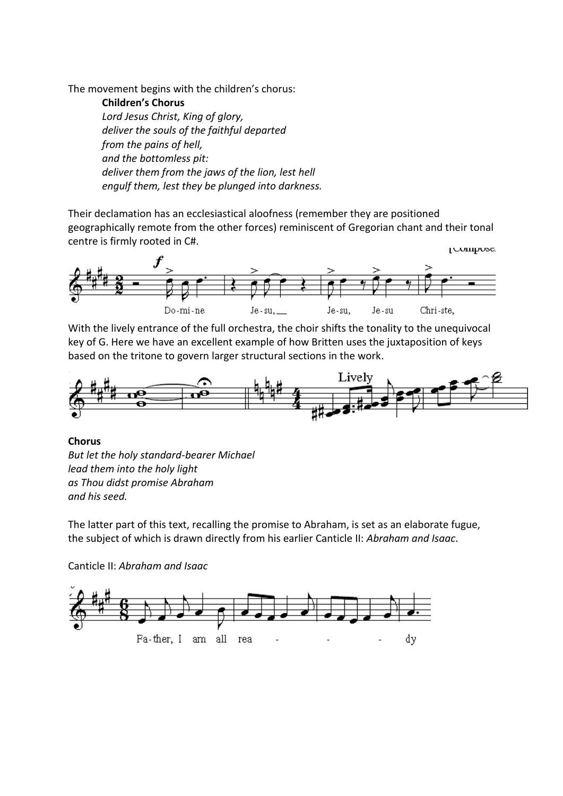The movement begins with the children's chorus:

**Children's Chorus** *Lord Jesus Christ, King of glory,*

*deliver the souls of the faithful departed from the pains of hell, and the bottomless pit: deliver them from the jaws of the lion, lest hell engulf them, lest they be plunged into darkness.*

Their declamation has an ecclesiastical aloofness (remember they are positioned geographically remote from the other forces) reminiscent of Gregorian chant and their tonal centre is firmly rooted in C#.



With the lively entrance of the full orchestra, the choir shifts the tonality to the unequivocal key of G. Here we have an excellent example of how Britten uses the juxtaposition of keys based on the tritone to govern larger structural sections in the work.



# **Chorus**

*But let the holy standard-bearer Michael lead them into the holy light as Thou didst promise Abraham and his seed.*

The latter part of this text, recalling the promise to Abraham, is set as an elaborate fugue, the subject of which is drawn directly from his earlier Canticle II: *Abraham and Isaac*.

Canticle II: *Abraham and Isaac*

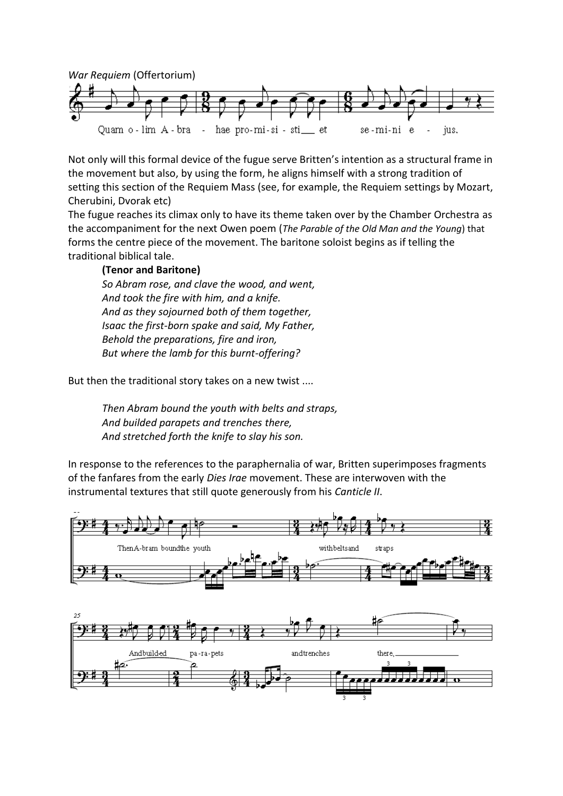

Not only will this formal device of the fugue serve Britten's intention as a structural frame in the movement but also, by using the form, he aligns himself with a strong tradition of setting this section of the Requiem Mass (see, for example, the Requiem settings by Mozart, Cherubini, Dvorak etc)

The fugue reaches its climax only to have its theme taken over by the Chamber Orchestra as the accompaniment for the next Owen poem (*The Parable of the Old Man and the Young*) that forms the centre piece of the movement. The baritone soloist begins as if telling the traditional biblical tale.

### **(Tenor and Baritone)**

*So Abram rose, and clave the wood, and went, And took the fire with him, and a knife. And as they sojourned both of them together, Isaac the first-born spake and said, My Father, Behold the preparations, fire and iron, But where the lamb for this burnt-offering?*

But then the traditional story takes on a new twist ....

*Then Abram bound the youth with belts and straps, And builded parapets and trenches there, And stretched forth the knife to slay his son.*

In response to the references to the paraphernalia of war, Britten superimposes fragments of the fanfares from the early *Dies Irae* movement. These are interwoven with the instrumental textures that still quote generously from his *Canticle II*.

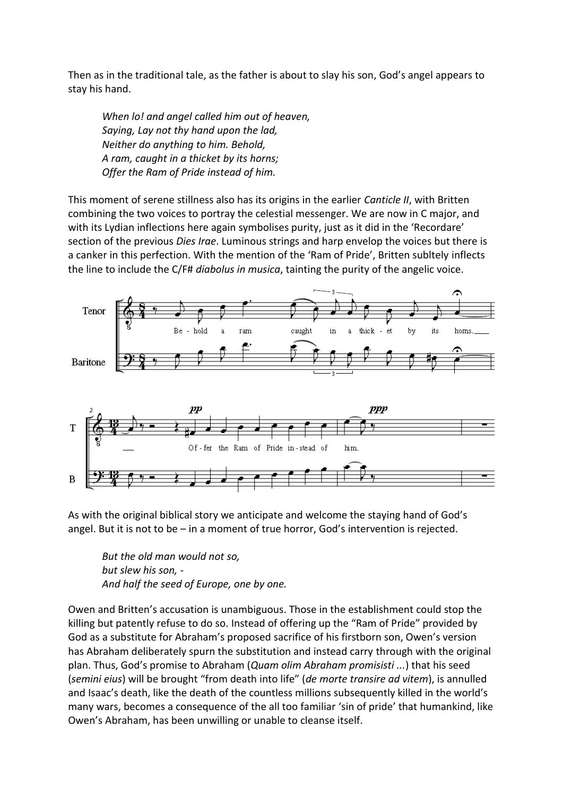Then as in the traditional tale, as the father is about to slay his son, God's angel appears to stay his hand.

*When lo! and angel called him out of heaven, Saying, Lay not thy hand upon the lad, Neither do anything to him. Behold, A ram, caught in a thicket by its horns; Offer the Ram of Pride instead of him.*

This moment of serene stillness also has its origins in the earlier *Canticle II*, with Britten combining the two voices to portray the celestial messenger. We are now in C major, and with its Lydian inflections here again symbolises purity, just as it did in the 'Recordare' section of the previous *Dies Irae*. Luminous strings and harp envelop the voices but there is a canker in this perfection. With the mention of the 'Ram of Pride', Britten subltely inflects the line to include the C/F# *diabolus in musica*, tainting the purity of the angelic voice.



As with the original biblical story we anticipate and welcome the staying hand of God's angel. But it is not to be – in a moment of true horror, God's intervention is rejected.

*But the old man would not so, but slew his son, - And half the seed of Europe, one by one.*

Owen and Britten's accusation is unambiguous. Those in the establishment could stop the killing but patently refuse to do so. Instead of offering up the "Ram of Pride" provided by God as a substitute for Abraham's proposed sacrifice of his firstborn son, Owen's version has Abraham deliberately spurn the substitution and instead carry through with the original plan. Thus, God's promise to Abraham (*Quam olim Abraham promisisti ...*) that his seed (*semini eius*) will be brought "from death into life" (*de morte transire ad vitem*), is annulled and Isaac's death, like the death of the countless millions subsequently killed in the world's many wars, becomes a consequence of the all too familiar 'sin of pride' that humankind, like Owen's Abraham, has been unwilling or unable to cleanse itself.